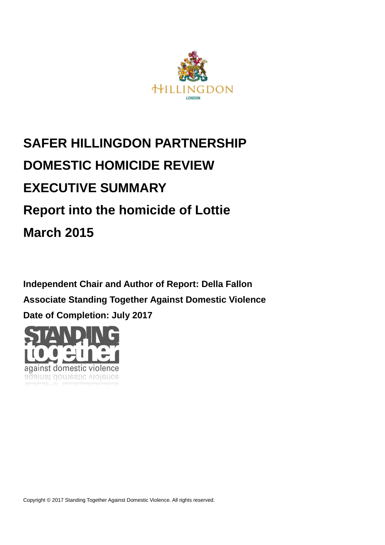

# **SAFER HILLINGDON PARTNERSHIP DOMESTIC HOMICIDE REVIEW EXECUTIVE SUMMARY Report into the homicide of Lottie March 2015**

**Independent Chair and Author of Report: Della Fallon Associate Standing Together Against Domestic Violence Date of Completion: July 2017**

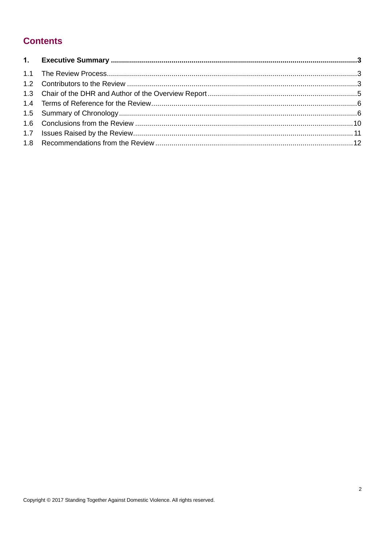### **Contents**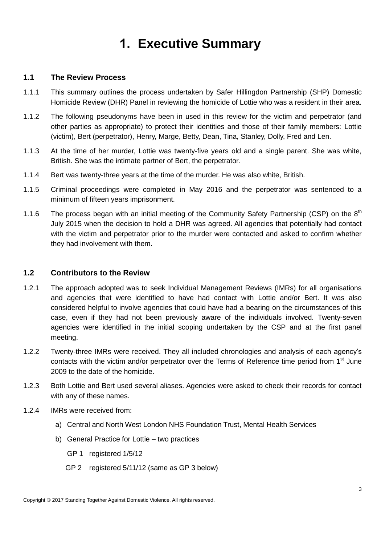## **1. Executive Summary**

#### <span id="page-2-1"></span><span id="page-2-0"></span>**1.1 The Review Process**

- 1.1.1 This summary outlines the process undertaken by Safer Hillingdon Partnership (SHP) Domestic Homicide Review (DHR) Panel in reviewing the homicide of Lottie who was a resident in their area.
- 1.1.2 The following pseudonyms have been in used in this review for the victim and perpetrator (and other parties as appropriate) to protect their identities and those of their family members: Lottie (victim), Bert (perpetrator), Henry, Marge, Betty, Dean, Tina, Stanley, Dolly, Fred and Len.
- 1.1.3 At the time of her murder, Lottie was twenty-five years old and a single parent. She was white, British. She was the intimate partner of Bert, the perpetrator.
- 1.1.4 Bert was twenty-three years at the time of the murder. He was also white, British.
- 1.1.5 Criminal proceedings were completed in May 2016 and the perpetrator was sentenced to a minimum of fifteen years imprisonment.
- 1.1.6 The process began with an initial meeting of the Community Safety Partnership (CSP) on the  $8<sup>th</sup>$ July 2015 when the decision to hold a DHR was agreed. All agencies that potentially had contact with the victim and perpetrator prior to the murder were contacted and asked to confirm whether they had involvement with them.

#### <span id="page-2-2"></span>**1.2 Contributors to the Review**

- 1.2.1 The approach adopted was to seek Individual Management Reviews (IMRs) for all organisations and agencies that were identified to have had contact with Lottie and/or Bert. It was also considered helpful to involve agencies that could have had a bearing on the circumstances of this case, even if they had not been previously aware of the individuals involved. Twenty-seven agencies were identified in the initial scoping undertaken by the CSP and at the first panel meeting.
- 1.2.2 Twenty-three IMRs were received. They all included chronologies and analysis of each agency's contacts with the victim and/or perpetrator over the Terms of Reference time period from 1<sup>st</sup> June 2009 to the date of the homicide.
- 1.2.3 Both Lottie and Bert used several aliases. Agencies were asked to check their records for contact with any of these names.
- 1.2.4 IMRs were received from:
	- a) Central and North West London NHS Foundation Trust, Mental Health Services
	- b) General Practice for Lottie two practices
		- GP 1 registered 1/5/12
		- GP 2 registered 5/11/12 (same as GP 3 below)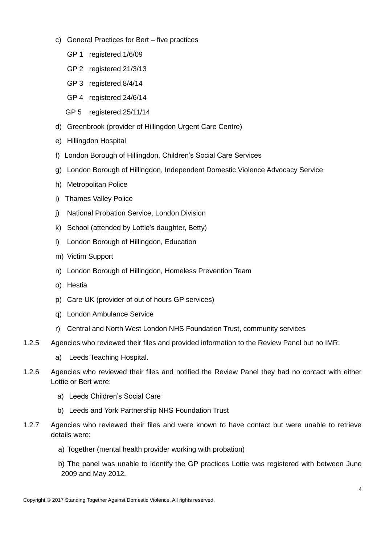- c) General Practices for Bert five practices
	- GP 1 registered 1/6/09
	- GP 2 registered 21/3/13
	- GP 3 registered 8/4/14
	- GP 4 registered 24/6/14
	- GP 5 registered 25/11/14
- d) Greenbrook (provider of Hillingdon Urgent Care Centre)
- e) Hillingdon Hospital
- f) London Borough of Hillingdon, Children's Social Care Services
- g) London Borough of Hillingdon, Independent Domestic Violence Advocacy Service
- h) Metropolitan Police
- i) Thames Valley Police
- j) National Probation Service, London Division
- k) School (attended by Lottie's daughter, Betty)
- l) London Borough of Hillingdon, Education
- m) Victim Support
- n) London Borough of Hillingdon, Homeless Prevention Team
- o) Hestia
- p) Care UK (provider of out of hours GP services)
- q) London Ambulance Service
- r) Central and North West London NHS Foundation Trust, community services
- 1.2.5 Agencies who reviewed their files and provided information to the Review Panel but no IMR:
	- a) Leeds Teaching Hospital.
- 1.2.6 Agencies who reviewed their files and notified the Review Panel they had no contact with either Lottie or Bert were:
	- a) Leeds Children's Social Care
	- b) Leeds and York Partnership NHS Foundation Trust
- 1.2.7 Agencies who reviewed their files and were known to have contact but were unable to retrieve details were:
	- a) Together (mental health provider working with probation)
	- b) The panel was unable to identify the GP practices Lottie was registered with between June 2009 and May 2012.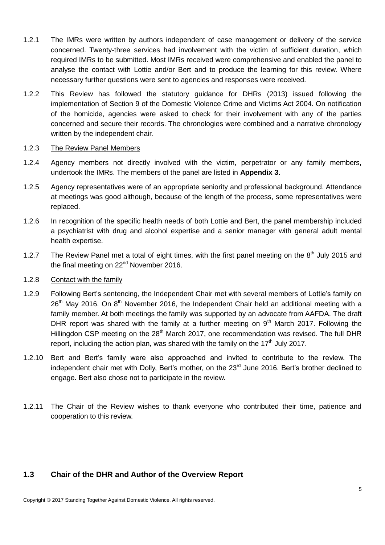- 1.2.1 The IMRs were written by authors independent of case management or delivery of the service concerned. Twenty-three services had involvement with the victim of sufficient duration, which required IMRs to be submitted. Most IMRs received were comprehensive and enabled the panel to analyse the contact with Lottie and/or Bert and to produce the learning for this review. Where necessary further questions were sent to agencies and responses were received.
- 1.2.2 This Review has followed the statutory guidance for DHRs (2013) issued following the implementation of Section 9 of the Domestic Violence Crime and Victims Act 2004. On notification of the homicide, agencies were asked to check for their involvement with any of the parties concerned and secure their records. The chronologies were combined and a narrative chronology written by the independent chair.

#### 1.2.3 The Review Panel Members

- 1.2.4 Agency members not directly involved with the victim, perpetrator or any family members, undertook the IMRs. The members of the panel are listed in **Appendix 3.**
- 1.2.5 Agency representatives were of an appropriate seniority and professional background. Attendance at meetings was good although, because of the length of the process, some representatives were replaced.
- 1.2.6 In recognition of the specific health needs of both Lottie and Bert, the panel membership included a psychiatrist with drug and alcohol expertise and a senior manager with general adult mental health expertise.
- 1.2.7 The Review Panel met a total of eight times, with the first panel meeting on the 8<sup>th</sup> July 2015 and the final meeting on 22<sup>nd</sup> November 2016.

#### 1.2.8 Contact with the family

- 1.2.9 Following Bert's sentencing, the Independent Chair met with several members of Lottie's family on  $26<sup>th</sup>$  Mav 2016. On  $8<sup>th</sup>$  November 2016, the Independent Chair held an additional meeting with a family member. At both meetings the family was supported by an advocate from AAFDA. The draft DHR report was shared with the family at a further meeting on  $9<sup>th</sup>$  March 2017. Following the Hillingdon CSP meeting on the 28<sup>th</sup> March 2017, one recommendation was revised. The full DHR report, including the action plan, was shared with the family on the  $17<sup>th</sup>$  July 2017.
- 1.2.10 Bert and Bert's family were also approached and invited to contribute to the review. The independent chair met with Dolly, Bert's mother, on the 23<sup>rd</sup> June 2016. Bert's brother declined to engage. Bert also chose not to participate in the review.
- 1.2.11 The Chair of the Review wishes to thank everyone who contributed their time, patience and cooperation to this review.

#### <span id="page-4-0"></span>**1.3 Chair of the DHR and Author of the Overview Report**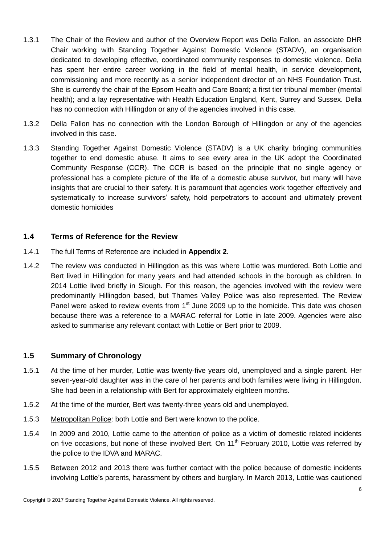- 1.3.1 The Chair of the Review and author of the Overview Report was Della Fallon, an associate DHR Chair working with Standing Together Against Domestic Violence (STADV), an organisation dedicated to developing effective, coordinated community responses to domestic violence. Della has spent her entire career working in the field of mental health, in service development, commissioning and more recently as a senior independent director of an NHS Foundation Trust. She is currently the chair of the Epsom Health and Care Board; a first tier tribunal member (mental health); and a lay representative with Health Education England, Kent, Surrey and Sussex. Della has no connection with Hillingdon or any of the agencies involved in this case.
- 1.3.2 Della Fallon has no connection with the London Borough of Hillingdon or any of the agencies involved in this case.
- 1.3.3 Standing Together Against Domestic Violence (STADV) is a UK charity bringing communities together to end domestic abuse. It aims to see every area in the UK adopt the Coordinated Community Response (CCR). The CCR is based on the principle that no single agency or professional has a complete picture of the life of a domestic abuse survivor, but many will have insights that are crucial to their safety. It is paramount that agencies work together effectively and systematically to increase survivors' safety, hold perpetrators to account and ultimately prevent domestic homicides

#### <span id="page-5-0"></span>**1.4 Terms of Reference for the Review**

- 1.4.1 The full Terms of Reference are included in **Appendix 2**.
- 1.4.2 The review was conducted in Hillingdon as this was where Lottie was murdered. Both Lottie and Bert lived in Hillingdon for many years and had attended schools in the borough as children. In 2014 Lottie lived briefly in Slough. For this reason, the agencies involved with the review were predominantly Hillingdon based, but Thames Valley Police was also represented. The Review Panel were asked to review events from  $1<sup>st</sup>$  June 2009 up to the homicide. This date was chosen because there was a reference to a MARAC referral for Lottie in late 2009. Agencies were also asked to summarise any relevant contact with Lottie or Bert prior to 2009.

#### <span id="page-5-1"></span>**1.5 Summary of Chronology**

- 1.5.1 At the time of her murder, Lottie was twenty-five years old, unemployed and a single parent. Her seven-year-old daughter was in the care of her parents and both families were living in Hillingdon. She had been in a relationship with Bert for approximately eighteen months.
- 1.5.2 At the time of the murder, Bert was twenty-three years old and unemployed.
- 1.5.3 Metropolitan Police: both Lottie and Bert were known to the police.
- 1.5.4 In 2009 and 2010, Lottie came to the attention of police as a victim of domestic related incidents on five occasions, but none of these involved Bert. On 11<sup>th</sup> February 2010, Lottie was referred by the police to the IDVA and MARAC.
- 1.5.5 Between 2012 and 2013 there was further contact with the police because of domestic incidents involving Lottie's parents, harassment by others and burglary. In March 2013, Lottie was cautioned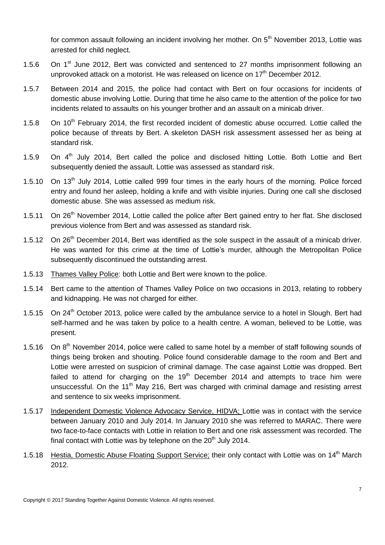for common assault following an incident involving her mother. On 5<sup>th</sup> November 2013, Lottie was arrested for child neglect.

- 1.5.6 On  $1<sup>st</sup>$  June 2012, Bert was convicted and sentenced to 27 months imprisonment following an unprovoked attack on a motorist. He was released on licence on 17<sup>th</sup> December 2012.
- 1.5.7 Between 2014 and 2015, the police had contact with Bert on four occasions for incidents of domestic abuse involving Lottie. During that time he also came to the attention of the police for two incidents related to assaults on his younger brother and an assault on a minicab driver.
- 1.5.8 On 10<sup>th</sup> February 2014, the first recorded incident of domestic abuse occurred. Lottie called the police because of threats by Bert. A skeleton DASH risk assessment assessed her as being at standard risk.
- 1.5.9 On 4<sup>th</sup> July 2014, Bert called the police and disclosed hitting Lottie. Both Lottie and Bert subsequently denied the assault. Lottie was assessed as standard risk.
- 1.5.10 On 13<sup>th</sup> July 2014, Lottie called 999 four times in the early hours of the morning. Police forced entry and found her asleep, holding a knife and with visible injuries. During one call she disclosed domestic abuse. She was assessed as medium risk.
- 1.5.11 On 26<sup>th</sup> November 2014, Lottie called the police after Bert gained entry to her flat. She disclosed previous violence from Bert and was assessed as standard risk.
- 1.5.12 On 26<sup>th</sup> December 2014, Bert was identified as the sole suspect in the assault of a minicab driver. He was wanted for this crime at the time of Lottie's murder, although the Metropolitan Police subsequently discontinued the outstanding arrest.
- 1.5.13 Thames Valley Police: both Lottie and Bert were known to the police.
- 1.5.14 Bert came to the attention of Thames Valley Police on two occasions in 2013, relating to robbery and kidnapping. He was not charged for either.
- 1.5.15 On 24<sup>th</sup> October 2013, police were called by the ambulance service to a hotel in Slough. Bert had self-harmed and he was taken by police to a health centre. A woman, believed to be Lottie, was present.
- 1.5.16 On 8<sup>th</sup> November 2014, police were called to same hotel by a member of staff following sounds of things being broken and shouting. Police found considerable damage to the room and Bert and Lottie were arrested on suspicion of criminal damage. The case against Lottie was dropped. Bert failed to attend for charging on the  $19<sup>th</sup>$  December 2014 and attempts to trace him were unsuccessful. On the 11<sup>th</sup> May 216, Bert was charged with criminal damage and resisting arrest and sentence to six weeks imprisonment.
- 1.5.17 Independent Domestic Violence Advocacy Service, HIDVA; Lottie was in contact with the service between January 2010 and July 2014. In January 2010 she was referred to MARAC. There were two face-to-face contacts with Lottie in relation to Bert and one risk assessment was recorded. The final contact with Lottie was by telephone on the  $20<sup>th</sup>$  July 2014.
- 1.5.18 Hestia, Domestic Abuse Floating Support Service; their only contact with Lottie was on 14<sup>th</sup> March 2012.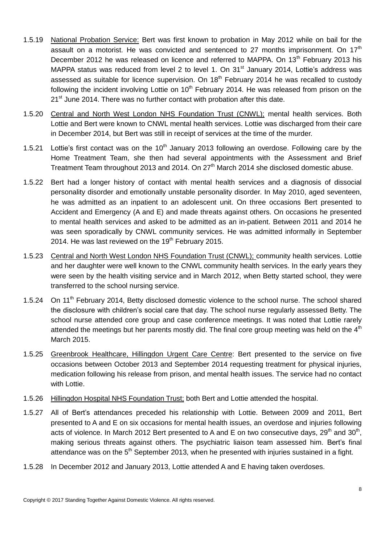- 1.5.19 National Probation Service: Bert was first known to probation in May 2012 while on bail for the assault on a motorist. He was convicted and sentenced to 27 months imprisonment. On  $17<sup>th</sup>$ December 2012 he was released on licence and referred to MAPPA. On 13<sup>th</sup> February 2013 his MAPPA status was reduced from level 2 to level 1. On 31<sup>st</sup> January 2014, Lottie's address was assessed as suitable for licence supervision. On 18<sup>th</sup> February 2014 he was recalled to custody following the incident involving Lottie on 10<sup>th</sup> February 2014. He was released from prison on the 21<sup>st</sup> June 2014. There was no further contact with probation after this date.
- 1.5.20 Central and North West London NHS Foundation Trust (CNWL); mental health services. Both Lottie and Bert were known to CNWL mental health services. Lottie was discharged from their care in December 2014, but Bert was still in receipt of services at the time of the murder.
- 1.5.21 Lottie's first contact was on the  $10<sup>th</sup>$  January 2013 following an overdose. Following care by the Home Treatment Team, she then had several appointments with the Assessment and Brief Treatment Team throughout 2013 and 2014. On 27<sup>th</sup> March 2014 she disclosed domestic abuse.
- 1.5.22 Bert had a longer history of contact with mental health services and a diagnosis of dissocial personality disorder and emotionally unstable personality disorder. In May 2010, aged seventeen, he was admitted as an inpatient to an adolescent unit. On three occasions Bert presented to Accident and Emergency (A and E) and made threats against others. On occasions he presented to mental health services and asked to be admitted as an in-patient. Between 2011 and 2014 he was seen sporadically by CNWL community services. He was admitted informally in September 2014. He was last reviewed on the  $19<sup>th</sup>$  February 2015.
- 1.5.23 Central and North West London NHS Foundation Trust (CNWL); community health services. Lottie and her daughter were well known to the CNWL community health services. In the early years they were seen by the health visiting service and in March 2012, when Betty started school, they were transferred to the school nursing service.
- 1.5.24 On 11<sup>th</sup> February 2014, Betty disclosed domestic violence to the school nurse. The school shared the disclosure with children's social care that day. The school nurse regularly assessed Betty. The school nurse attended core group and case conference meetings. It was noted that Lottie rarely attended the meetings but her parents mostly did. The final core group meeting was held on the  $4<sup>th</sup>$ March 2015.
- 1.5.25 Greenbrook Healthcare, Hillingdon Urgent Care Centre: Bert presented to the service on five occasions between October 2013 and September 2014 requesting treatment for physical injuries, medication following his release from prison, and mental health issues. The service had no contact with Lottie.
- 1.5.26 Hillingdon Hospital NHS Foundation Trust; both Bert and Lottie attended the hospital.
- 1.5.27 All of Bert's attendances preceded his relationship with Lottie. Between 2009 and 2011, Bert presented to A and E on six occasions for mental health issues, an overdose and injuries following acts of violence. In March 2012 Bert presented to A and E on two consecutive days, 29<sup>th</sup> and 30<sup>th</sup>, making serious threats against others. The psychiatric liaison team assessed him. Bert's final attendance was on the  $5<sup>th</sup>$  September 2013, when he presented with injuries sustained in a fight.
- 1.5.28 In December 2012 and January 2013, Lottie attended A and E having taken overdoses.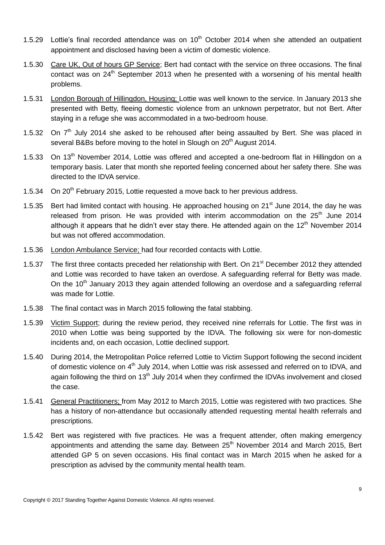- 1.5.29 Lottie's final recorded attendance was on  $10<sup>th</sup>$  October 2014 when she attended an outpatient appointment and disclosed having been a victim of domestic violence.
- 1.5.30 Care UK, Out of hours GP Service; Bert had contact with the service on three occasions. The final contact was on 24<sup>th</sup> September 2013 when he presented with a worsening of his mental health problems.
- 1.5.31 London Borough of Hillingdon, Housing; Lottie was well known to the service. In January 2013 she presented with Betty, fleeing domestic violence from an unknown perpetrator, but not Bert. After staying in a refuge she was accommodated in a two-bedroom house.
- 1.5.32 On  $7<sup>th</sup>$  July 2014 she asked to be rehoused after being assaulted by Bert. She was placed in several B&Bs before moving to the hotel in Slough on 20<sup>th</sup> August 2014.
- 1.5.33 On 13<sup>th</sup> November 2014, Lottie was offered and accepted a one-bedroom flat in Hillingdon on a temporary basis. Later that month she reported feeling concerned about her safety there. She was directed to the IDVA service.
- 1.5.34 On 20<sup>th</sup> February 2015, Lottie requested a move back to her previous address.
- 1.5.35 Bert had limited contact with housing. He approached housing on 21<sup>st</sup> June 2014, the day he was released from prison. He was provided with interim accommodation on the  $25<sup>th</sup>$  June 2014 although it appears that he didn't ever stay there. He attended again on the  $12<sup>th</sup>$  November 2014 but was not offered accommodation.
- 1.5.36 London Ambulance Service; had four recorded contacts with Lottie.
- 1.5.37 The first three contacts preceded her relationship with Bert. On 21<sup>st</sup> December 2012 they attended and Lottie was recorded to have taken an overdose. A safeguarding referral for Betty was made. On the 10<sup>th</sup> January 2013 they again attended following an overdose and a safeguarding referral was made for Lottie.
- 1.5.38 The final contact was in March 2015 following the fatal stabbing.
- 1.5.39 Victim Support; during the review period, they received nine referrals for Lottie. The first was in 2010 when Lottie was being supported by the IDVA. The following six were for non-domestic incidents and, on each occasion, Lottie declined support.
- 1.5.40 During 2014, the Metropolitan Police referred Lottie to Victim Support following the second incident of domestic violence on 4<sup>th</sup> July 2014, when Lottie was risk assessed and referred on to IDVA, and again following the third on  $13<sup>th</sup>$  July 2014 when they confirmed the IDVAs involvement and closed the case.
- 1.5.41 General Practitioners; from May 2012 to March 2015, Lottie was registered with two practices. She has a history of non-attendance but occasionally attended requesting mental health referrals and prescriptions.
- 1.5.42 Bert was registered with five practices. He was a frequent attender, often making emergency appointments and attending the same day. Between 25<sup>th</sup> November 2014 and March 2015, Bert attended GP 5 on seven occasions. His final contact was in March 2015 when he asked for a prescription as advised by the community mental health team.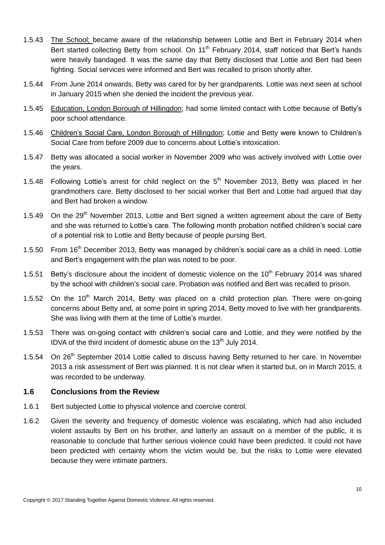- 1.5.43 The School; became aware of the relationship between Lottie and Bert in February 2014 when Bert started collecting Betty from school. On 11<sup>th</sup> February 2014, staff noticed that Bert's hands were heavily bandaged. It was the same day that Betty disclosed that Lottie and Bert had been fighting. Social services were informed and Bert was recalled to prison shortly after.
- 1.5.44 From June 2014 onwards, Betty was cared for by her grandparents. Lottie was next seen at school in January 2015 when she denied the incident the previous year.
- 1.5.45 Education, London Borough of Hillingdon; had some limited contact with Lottie because of Betty's poor school attendance.
- 1.5.46 Children's Social Care, London Borough of Hillingdon; Lottie and Betty were known to Children's Social Care from before 2009 due to concerns about Lottie's intoxication.
- 1.5.47 Betty was allocated a social worker in November 2009 who was actively involved with Lottie over the years.
- 1.5.48 Following Lottie's arrest for child neglect on the  $5<sup>th</sup>$  November 2013, Betty was placed in her grandmothers care. Betty disclosed to her social worker that Bert and Lottie had argued that day and Bert had broken a window.
- 1.5.49 On the  $29<sup>th</sup>$  November 2013, Lottie and Bert signed a written agreement about the care of Betty and she was returned to Lottie's care. The following month probation notified children's social care of a potential risk to Lottie and Betty because of people pursing Bert.
- 1.5.50 From 16<sup>th</sup> December 2013, Betty was managed by children's social care as a child in need. Lottie and Bert's engagement with the plan was noted to be poor.
- 1.5.51 Betty's disclosure about the incident of domestic violence on the 10<sup>th</sup> February 2014 was shared by the school with children's social care. Probation was notified and Bert was recalled to prison.
- 1.5.52 On the  $10<sup>th</sup>$  March 2014, Betty was placed on a child protection plan. There were on-going concerns about Betty and, at some point in spring 2014, Betty moved to live with her grandparents. She was living with them at the time of Lottie's murder.
- 1.5.53 There was on-going contact with children's social care and Lottie, and they were notified by the IDVA of the third incident of domestic abuse on the 13<sup>th</sup> July 2014.
- 1.5.54 On 26<sup>th</sup> September 2014 Lottie called to discuss having Betty returned to her care. In November 2013 a risk assessment of Bert was planned. It is not clear when it started but, on in March 2015, it was recorded to be underway.

#### <span id="page-9-0"></span>**1.6 Conclusions from the Review**

- 1.6.1 Bert subjected Lottie to physical violence and coercive control.
- 1.6.2 Given the severity and frequency of domestic violence was escalating, which had also included violent assaults by Bert on his brother, and latterly an assault on a member of the public, it is reasonable to conclude that further serious violence could have been predicted. It could not have been predicted with certainty whom the victim would be, but the risks to Lottie were elevated because they were intimate partners.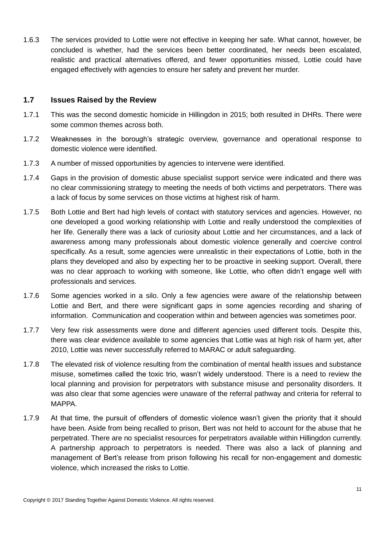1.6.3 The services provided to Lottie were not effective in keeping her safe. What cannot, however, be concluded is whether, had the services been better coordinated, her needs been escalated, realistic and practical alternatives offered, and fewer opportunities missed, Lottie could have engaged effectively with agencies to ensure her safety and prevent her murder.

#### <span id="page-10-0"></span>**1.7 Issues Raised by the Review**

- 1.7.1 This was the second domestic homicide in Hillingdon in 2015; both resulted in DHRs. There were some common themes across both.
- 1.7.2 Weaknesses in the borough's strategic overview, governance and operational response to domestic violence were identified.
- 1.7.3 A number of missed opportunities by agencies to intervene were identified.
- 1.7.4 Gaps in the provision of domestic abuse specialist support service were indicated and there was no clear commissioning strategy to meeting the needs of both victims and perpetrators. There was a lack of focus by some services on those victims at highest risk of harm.
- 1.7.5 Both Lottie and Bert had high levels of contact with statutory services and agencies. However, no one developed a good working relationship with Lottie and really understood the complexities of her life. Generally there was a lack of curiosity about Lottie and her circumstances, and a lack of awareness among many professionals about domestic violence generally and coercive control specifically. As a result, some agencies were unrealistic in their expectations of Lottie, both in the plans they developed and also by expecting her to be proactive in seeking support. Overall, there was no clear approach to working with someone, like Lottie, who often didn't engage well with professionals and services.
- 1.7.6 Some agencies worked in a silo. Only a few agencies were aware of the relationship between Lottie and Bert, and there were significant gaps in some agencies recording and sharing of information. Communication and cooperation within and between agencies was sometimes poor.
- 1.7.7 Very few risk assessments were done and different agencies used different tools. Despite this, there was clear evidence available to some agencies that Lottie was at high risk of harm yet, after 2010, Lottie was never successfully referred to MARAC or adult safeguarding.
- 1.7.8 The elevated risk of violence resulting from the combination of mental health issues and substance misuse, sometimes called the toxic trio, wasn't widely understood. There is a need to review the local planning and provision for perpetrators with substance misuse and personality disorders. It was also clear that some agencies were unaware of the referral pathway and criteria for referral to MAPPA.
- 1.7.9 At that time, the pursuit of offenders of domestic violence wasn't given the priority that it should have been. Aside from being recalled to prison, Bert was not held to account for the abuse that he perpetrated. There are no specialist resources for perpetrators available within Hillingdon currently. A partnership approach to perpetrators is needed. There was also a lack of planning and management of Bert's release from prison following his recall for non-engagement and domestic violence, which increased the risks to Lottie.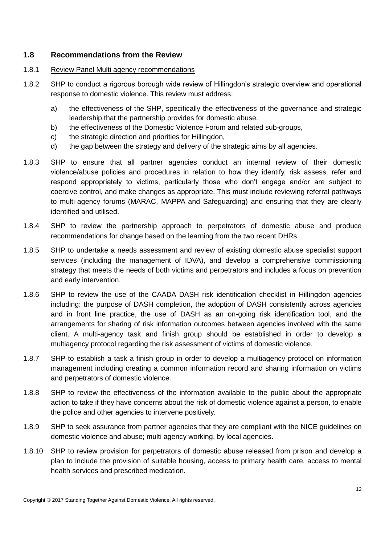#### <span id="page-11-0"></span>**1.8 Recommendations from the Review**

#### 1.8.1 Review Panel Multi agency recommendations

- 1.8.2 SHP to conduct a rigorous borough wide review of Hillingdon's strategic overview and operational response to domestic violence. This review must address:
	- a) the effectiveness of the SHP, specifically the effectiveness of the governance and strategic leadership that the partnership provides for domestic abuse.
	- b) the effectiveness of the Domestic Violence Forum and related sub-groups,
	- c) the strategic direction and priorities for Hillingdon,
	- d) the gap between the strategy and delivery of the strategic aims by all agencies.
- 1.8.3 SHP to ensure that all partner agencies conduct an internal review of their domestic violence/abuse policies and procedures in relation to how they identify, risk assess, refer and respond appropriately to victims, particularly those who don't engage and/or are subject to coercive control, and make changes as appropriate. This must include reviewing referral pathways to multi-agency forums (MARAC, MAPPA and Safeguarding) and ensuring that they are clearly identified and utilised.
- 1.8.4 SHP to review the partnership approach to perpetrators of domestic abuse and produce recommendations for change based on the learning from the two recent DHRs.
- 1.8.5 SHP to undertake a needs assessment and review of existing domestic abuse specialist support services (including the management of IDVA), and develop a comprehensive commissioning strategy that meets the needs of both victims and perpetrators and includes a focus on prevention and early intervention.
- 1.8.6 SHP to review the use of the CAADA DASH risk identification checklist in Hillingdon agencies including: the purpose of DASH completion, the adoption of DASH consistently across agencies and in front line practice, the use of DASH as an on-going risk identification tool, and the arrangements for sharing of risk information outcomes between agencies involved with the same client. A multi-agency task and finish group should be established in order to develop a multiagency protocol regarding the risk assessment of victims of domestic violence.
- 1.8.7 SHP to establish a task a finish group in order to develop a multiagency protocol on information management including creating a common information record and sharing information on victims and perpetrators of domestic violence.
- 1.8.8 SHP to review the effectiveness of the information available to the public about the appropriate action to take if they have concerns about the risk of domestic violence against a person, to enable the police and other agencies to intervene positively.
- 1.8.9 SHP to seek assurance from partner agencies that they are compliant with the NICE guidelines on domestic violence and abuse; multi agency working, by local agencies.
- 1.8.10 SHP to review provision for perpetrators of domestic abuse released from prison and develop a plan to include the provision of suitable housing, access to primary health care, access to mental health services and prescribed medication.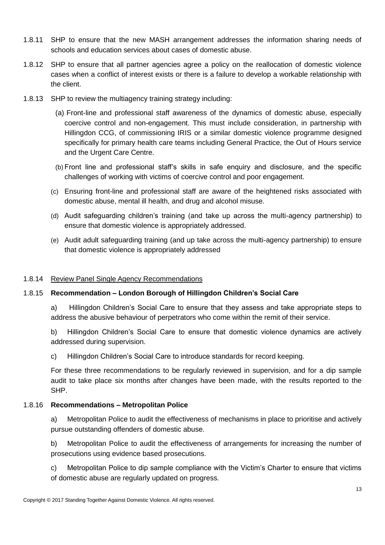- 1.8.11 SHP to ensure that the new MASH arrangement addresses the information sharing needs of schools and education services about cases of domestic abuse.
- 1.8.12 SHP to ensure that all partner agencies agree a policy on the reallocation of domestic violence cases when a conflict of interest exists or there is a failure to develop a workable relationship with the client.
- 1.8.13 SHP to review the multiagency training strategy including:
	- (a) Front-line and professional staff awareness of the dynamics of domestic abuse, especially coercive control and non-engagement. This must include consideration, in partnership with Hillingdon CCG, of commissioning IRIS or a similar domestic violence programme designed specifically for primary health care teams including General Practice, the Out of Hours service and the Urgent Care Centre.
	- (b) Front line and professional staff's skills in safe enquiry and disclosure, and the specific challenges of working with victims of coercive control and poor engagement.
	- (c) Ensuring front-line and professional staff are aware of the heightened risks associated with domestic abuse, mental ill health, and drug and alcohol misuse.
	- (d) Audit safeguarding children's training (and take up across the multi-agency partnership) to ensure that domestic violence is appropriately addressed.
	- (e) Audit adult safeguarding training (and up take across the multi-agency partnership) to ensure that domestic violence is appropriately addressed

#### 1.8.14 Review Panel Single Agency Recommendations

#### 1.8.15 **Recommendation – London Borough of Hillingdon Children's Social Care**

a) Hillingdon Children's Social Care to ensure that they assess and take appropriate steps to address the abusive behaviour of perpetrators who come within the remit of their service.

b) Hillingdon Children's Social Care to ensure that domestic violence dynamics are actively addressed during supervision.

c) Hillingdon Children's Social Care to introduce standards for record keeping.

For these three recommendations to be regularly reviewed in supervision, and for a dip sample audit to take place six months after changes have been made, with the results reported to the SHP.

#### 1.8.16 **Recommendations – Metropolitan Police**

a) Metropolitan Police to audit the effectiveness of mechanisms in place to prioritise and actively pursue outstanding offenders of domestic abuse.

b) Metropolitan Police to audit the effectiveness of arrangements for increasing the number of prosecutions using evidence based prosecutions.

c) Metropolitan Police to dip sample compliance with the Victim's Charter to ensure that victims of domestic abuse are regularly updated on progress.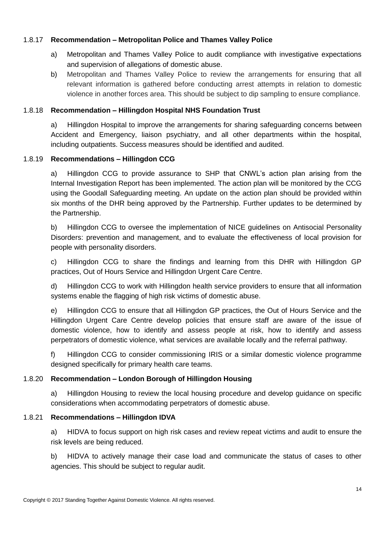#### 1.8.17 **Recommendation – Metropolitan Police and Thames Valley Police**

- a) Metropolitan and Thames Valley Police to audit compliance with investigative expectations and supervision of allegations of domestic abuse.
- b) Metropolitan and Thames Valley Police to review the arrangements for ensuring that all relevant information is gathered before conducting arrest attempts in relation to domestic violence in another forces area. This should be subject to dip sampling to ensure compliance.

#### 1.8.18 **Recommendation – Hillingdon Hospital NHS Foundation Trust**

a) Hillingdon Hospital to improve the arrangements for sharing safeguarding concerns between Accident and Emergency, liaison psychiatry, and all other departments within the hospital, including outpatients. Success measures should be identified and audited.

#### 1.8.19 **Recommendations – Hillingdon CCG**

a) Hillingdon CCG to provide assurance to SHP that CNWL's action plan arising from the Internal Investigation Report has been implemented. The action plan will be monitored by the CCG using the Goodall Safeguarding meeting. An update on the action plan should be provided within six months of the DHR being approved by the Partnership. Further updates to be determined by the Partnership.

b) Hillingdon CCG to oversee the implementation of NICE guidelines on Antisocial Personality Disorders: prevention and management, and to evaluate the effectiveness of local provision for people with personality disorders.

c) Hillingdon CCG to share the findings and learning from this DHR with Hillingdon GP practices, Out of Hours Service and Hillingdon Urgent Care Centre.

d) Hillingdon CCG to work with Hillingdon health service providers to ensure that all information systems enable the flagging of high risk victims of domestic abuse.

e) Hillingdon CCG to ensure that all Hillingdon GP practices, the Out of Hours Service and the Hillingdon Urgent Care Centre develop policies that ensure staff are aware of the issue of domestic violence, how to identify and assess people at risk, how to identify and assess perpetrators of domestic violence, what services are available locally and the referral pathway.

f) Hillingdon CCG to consider commissioning IRIS or a similar domestic violence programme designed specifically for primary health care teams.

#### 1.8.20 **Recommendation – London Borough of Hillingdon Housing**

a) Hillingdon Housing to review the local housing procedure and develop guidance on specific considerations when accommodating perpetrators of domestic abuse.

#### 1.8.21 **Recommendations – Hillingdon IDVA**

a) HIDVA to focus support on high risk cases and review repeat victims and audit to ensure the risk levels are being reduced.

b) HIDVA to actively manage their case load and communicate the status of cases to other agencies. This should be subject to regular audit.